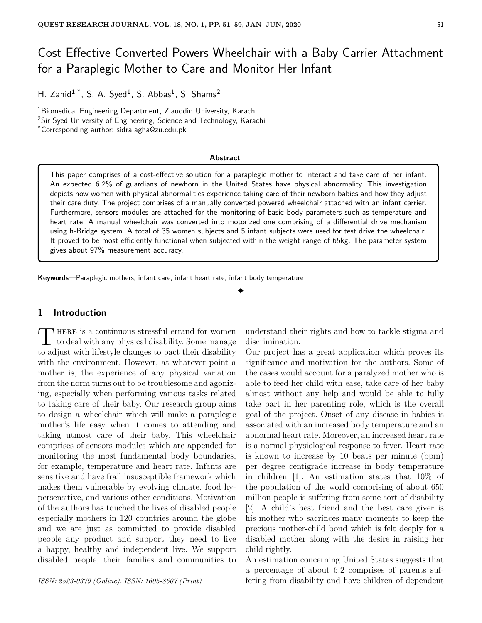# Cost Effective Converted Powers Wheelchair with a Baby Carrier Attachment for a Paraplegic Mother to Care and Monitor Her Infant

H. Zahid<sup>1,\*</sup>, S. A. Syed<sup>1</sup>, S. Abbas<sup>1</sup>, S. Shams<sup>2</sup>

<sup>1</sup>Biomedical Engineering Department, Ziauddin University, Karachi <sup>2</sup>Sir Syed University of Engineering, Science and Technology, Karachi \*Corresponding author: sidra.agha@zu.edu.pk

#### **Abstract**

This paper comprises of a cost-effective solution for a paraplegic mother to interact and take care of her infant. An expected 6.2% of guardians of newborn in the United States have physical abnormality. This investigation depicts how women with physical abnormalities experience taking care of their newborn babies and how they adjust their care duty. The project comprises of a manually converted powered wheelchair attached with an infant carrier. Furthermore, sensors modules are attached for the monitoring of basic body parameters such as temperature and heart rate. A manual wheelchair was converted into motorized one comprising of a differential drive mechanism using h-Bridge system. A total of 35 women subjects and 5 infant subjects were used for test drive the wheelchair. It proved to be most efficiently functional when subjected within the weight range of 65kg. The parameter system gives about 97% measurement accuracy.

✦

**Keywords**—Paraplegic mothers, infant care, infant heart rate, infant body temperature

# **1 Introduction**

THERE is a continuous stressful errand for women<br>to deal with any physical disability. Some manage **HERE** is a continuous stressful errand for women to adjust with lifestyle changes to pact their disability with the environment. However, at whatever point a mother is, the experience of any physical variation from the norm turns out to be troublesome and agonizing, especially when performing various tasks related to taking care of their baby. Our research group aims to design a wheelchair which will make a paraplegic mother's life easy when it comes to attending and taking utmost care of their baby. This wheelchair comprises of sensors modules which are appended for monitoring the most fundamental body boundaries, for example, temperature and heart rate. Infants are sensitive and have frail insusceptible framework which makes them vulnerable by evolving climate, food hypersensitive, and various other conditions. Motivation of the authors has touched the lives of disabled people especially mothers in 120 countries around the globe and we are just as committed to provide disabled people any product and support they need to live a happy, healthy and independent live. We support disabled people, their families and communities to

*ISSN: 2523-0379 (Online), ISSN: 1605-8607 (Print)*

understand their rights and how to tackle stigma and discrimination.

Our project has a great application which proves its significance and motivation for the authors. Some of the cases would account for a paralyzed mother who is able to feed her child with ease, take care of her baby almost without any help and would be able to fully take part in her parenting role, which is the overall goal of the project. Onset of any disease in babies is associated with an increased body temperature and an abnormal heart rate. Moreover, an increased heart rate is a normal physiological response to fever. Heart rate is known to increase by 10 beats per minute (bpm) per degree centigrade increase in body temperature in children [1]. An estimation states that 10% of the population of the world comprising of about 650 million people is suffering from some sort of disability [2]. A child's best friend and the best care giver is his mother who sacrifices many moments to keep the precious mother-child bond which is felt deeply for a disabled mother along with the desire in raising her child rightly.

An estimation concerning United States suggests that a percentage of about 6.2 comprises of parents suffering from disability and have children of dependent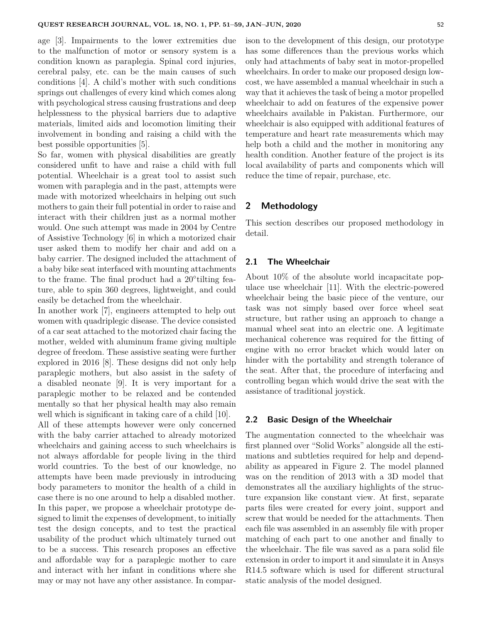age [3]. Impairments to the lower extremities due to the malfunction of motor or sensory system is a condition known as paraplegia. Spinal cord injuries, cerebral palsy, etc. can be the main causes of such conditions [4]. A child's mother with such conditions springs out challenges of every kind which comes along with psychological stress causing frustrations and deep helplessness to the physical barriers due to adaptive materials, limited aids and locomotion limiting their involvement in bonding and raising a child with the best possible opportunities [5].

So far, women with physical disabilities are greatly considered unfit to have and raise a child with full potential. Wheelchair is a great tool to assist such women with paraplegia and in the past, attempts were made with motorized wheelchairs in helping out such mothers to gain their full potential in order to raise and interact with their children just as a normal mother would. One such attempt was made in 2004 by Centre of Assistive Technology [6] in which a motorized chair user asked them to modify her chair and add on a baby carrier. The designed included the attachment of a baby bike seat interfaced with mounting attachments to the frame. The final product had a 20° tilting feature, able to spin 360 degrees, lightweight, and could easily be detached from the wheelchair.

In another work [7], engineers attempted to help out women with quadriplegic disease. The device consisted of a car seat attached to the motorized chair facing the mother, welded with aluminum frame giving multiple degree of freedom. These assistive seating were further explored in 2016 [8]. These designs did not only help paraplegic mothers, but also assist in the safety of a disabled neonate [9]. It is very important for a paraplegic mother to be relaxed and be contended mentally so that her physical health may also remain well which is significant in taking care of a child [10].

All of these attempts however were only concerned with the baby carrier attached to already motorized wheelchairs and gaining access to such wheelchairs is not always affordable for people living in the third world countries. To the best of our knowledge, no attempts have been made previously in introducing body parameters to monitor the health of a child in case there is no one around to help a disabled mother. In this paper, we propose a wheelchair prototype designed to limit the expenses of development, to initially test the design concepts, and to test the practical usability of the product which ultimately turned out to be a success. This research proposes an effective and affordable way for a paraplegic mother to care and interact with her infant in conditions where she may or may not have any other assistance. In comparison to the development of this design, our prototype has some differences than the previous works which only had attachments of baby seat in motor-propelled wheelchairs. In order to make our proposed design lowcost, we have assembled a manual wheelchair in such a way that it achieves the task of being a motor propelled wheelchair to add on features of the expensive power wheelchairs available in Pakistan. Furthermore, our wheelchair is also equipped with additional features of temperature and heart rate measurements which may help both a child and the mother in monitoring any health condition. Another feature of the project is its local availability of parts and components which will reduce the time of repair, purchase, etc.

## **2 Methodology**

This section describes our proposed methodology in detail.

## **2.1 The Wheelchair**

About 10% of the absolute world incapacitate populace use wheelchair [11]. With the electric-powered wheelchair being the basic piece of the venture, our task was not simply based over force wheel seat structure, but rather using an approach to change a manual wheel seat into an electric one. A legitimate mechanical coherence was required for the fitting of engine with no error bracket which would later on hinder with the portability and strength tolerance of the seat. After that, the procedure of interfacing and controlling began which would drive the seat with the assistance of traditional joystick.

## **2.2 Basic Design of the Wheelchair**

The augmentation connected to the wheelchair was first planned over "Solid Works" alongside all the estimations and subtleties required for help and dependability as appeared in Figure 2. The model planned was on the rendition of 2013 with a 3D model that demonstrates all the auxiliary highlights of the structure expansion like constant view. At first, separate parts files were created for every joint, support and screw that would be needed for the attachments. Then each file was assembled in an assembly file with proper matching of each part to one another and finally to the wheelchair. The file was saved as a para solid file extension in order to import it and simulate it in Ansys R14.5 software which is used for different structural static analysis of the model designed.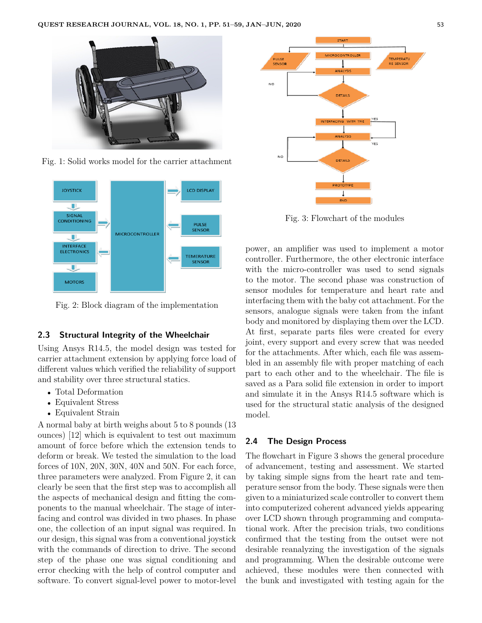

Fig. 1: Solid works model for the carrier attachment



Fig. 2: Block diagram of the implementation

#### **2.3 Structural Integrity of the Wheelchair**

Using Ansys R14.5, the model design was tested for carrier attachment extension by applying force load of different values which verified the reliability of support and stability over three structural statics.

- Total Deformation
- Equivalent Stress
- Equivalent Strain

A normal baby at birth weighs about 5 to 8 pounds (13 ounces) [12] which is equivalent to test out maximum amount of force before which the extension tends to deform or break. We tested the simulation to the load forces of 10N, 20N, 30N, 40N and 50N. For each force, three parameters were analyzed. From Figure 2, it can clearly be seen that the first step was to accomplish all the aspects of mechanical design and fitting the components to the manual wheelchair. The stage of interfacing and control was divided in two phases. In phase one, the collection of an input signal was required. In our design, this signal was from a conventional joystick with the commands of direction to drive. The second step of the phase one was signal conditioning and error checking with the help of control computer and software. To convert signal-level power to motor-level



Fig. 3: Flowchart of the modules

power, an amplifier was used to implement a motor controller. Furthermore, the other electronic interface with the micro-controller was used to send signals to the motor. The second phase was construction of sensor modules for temperature and heart rate and interfacing them with the baby cot attachment. For the sensors, analogue signals were taken from the infant body and monitored by displaying them over the LCD. At first, separate parts files were created for every joint, every support and every screw that was needed for the attachments. After which, each file was assembled in an assembly file with proper matching of each part to each other and to the wheelchair. The file is saved as a Para solid file extension in order to import and simulate it in the Ansys R14.5 software which is used for the structural static analysis of the designed model.

## **2.4 The Design Process**

The flowchart in Figure 3 shows the general procedure of advancement, testing and assessment. We started by taking simple signs from the heart rate and temperature sensor from the body. These signals were then given to a miniaturized scale controller to convert them into computerized coherent advanced yields appearing over LCD shown through programming and computational work. After the precision trials, two conditions confirmed that the testing from the outset were not desirable reanalyzing the investigation of the signals and programming. When the desirable outcome were achieved, these modules were then connected with the bunk and investigated with testing again for the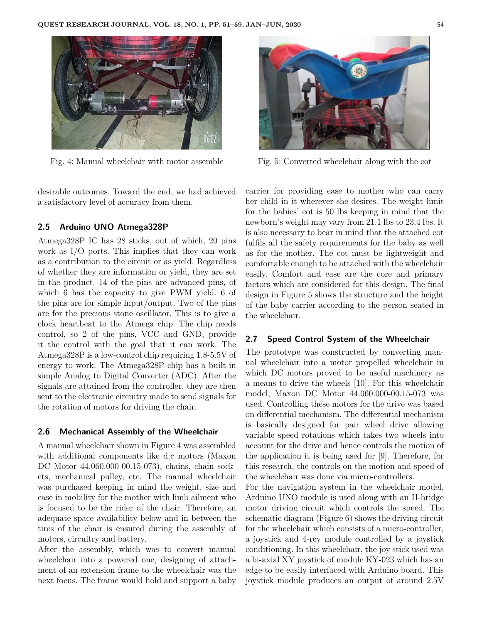

Fig. 4: Manual wheelchair with motor assemble

desirable outcomes. Toward the end, we had achieved a satisfactory level of accuracy from them.

### **2.5 Arduino UNO Atmega328P**

Atmega328P IC has 28 sticks, out of which, 20 pins work as I/O ports. This implies that they can work as a contribution to the circuit or as yield. Regardless of whether they are information or yield, they are set in the product. 14 of the pins are advanced pins, of which 6 has the capacity to give PWM yield. 6 of the pins are for simple input/output. Two of the pins are for the precious stone oscillator. This is to give a clock heartbeat to the Atmega chip. The chip needs control, so 2 of the pins, VCC and GND, provide it the control with the goal that it can work. The Atmega328P is a low-control chip requiring 1.8-5.5V of energy to work. The Atmega328P chip has a built-in simple Analog to Digital Converter (ADC). After the signals are attained from the controller, they are then sent to the electronic circuitry made to send signals for the rotation of motors for driving the chair.

#### **2.6 Mechanical Assembly of the Wheelchair**

A manual wheelchair shown in Figure 4 was assembled with additional components like d.c motors (Maxon DC Motor 44.060.000-00.15-073), chains, chain sockets, mechanical pulley, etc. The manual wheelchair was purchased keeping in mind the weight, size and ease in mobility for the mother with limb ailment who is focused to be the rider of the chair. Therefore, an adequate space availability below and in between the tires of the chair is ensured during the assembly of motors, circuitry and battery.

After the assembly, which was to convert manual wheelchair into a powered one, designing of attachment of an extension frame to the wheelchair was the next focus. The frame would hold and support a baby



Fig. 5: Converted wheelchair along with the cot

carrier for providing ease to mother who can carry her child in it wherever she desires. The weight limit for the babies' cot is 50 lbs keeping in mind that the newborn's weight may vary from 21.1 lbs to 23.4 lbs. It is also necessary to bear in mind that the attached cot fulfils all the safety requirements for the baby as well as for the mother. The cot must be lightweight and comfortable enough to be attached with the wheelchair easily. Comfort and ease are the core and primary factors which are considered for this design. The final design in Figure 5 shows the structure and the height of the baby carrier according to the person seated in the wheelchair.

## **2.7 Speed Control System of the Wheelchair**

The prototype was constructed by converting manual wheelchair into a motor propelled wheelchair in which DC motors proved to be useful machinery as a means to drive the wheels [10]. For this wheelchair model, Maxon DC Motor 44.060.000-00.15-073 was used. Controlling these motors for the drive was based on differential mechanism. The differential mechanism is basically designed for pair wheel drive allowing variable speed rotations which takes two wheels into account for the drive and hence controls the motion of the application it is being used for [9]. Therefore, for this research, the controls on the motion and speed of the wheelchair was done via micro-controllers.

For the navigation system in the wheelchair model, Arduino UNO module is used along with an H-bridge motor driving circuit which controls the speed. The schematic diagram (Figure 6) shows the driving circuit for the wheelchair which consists of a micro-controller, a joystick and 4-rey module controlled by a joystick conditioning. In this wheelchair, the joy stick used was a bi-axial XY joystick of module KY-023 which has an edge to be easily interfaced with Arduino board. This joystick module produces an output of around 2.5V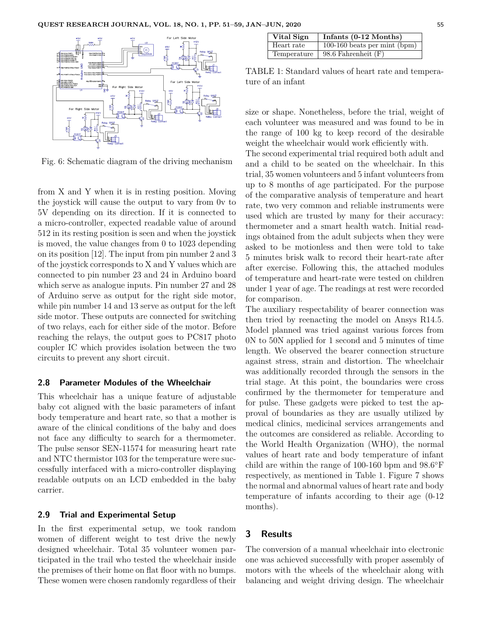

Fig. 6: Schematic diagram of the driving mechanism

from X and Y when it is in resting position. Moving the joystick will cause the output to vary from 0v to 5V depending on its direction. If it is connected to a micro-controller, expected readable value of around 512 in its resting position is seen and when the joystick is moved, the value changes from 0 to 1023 depending on its position [12]. The input from pin number 2 and 3 of the joystick corresponds to X and Y values which are connected to pin number 23 and 24 in Arduino board which serve as analogue inputs. Pin number 27 and 28 of Arduino serve as output for the right side motor, while pin number 14 and 13 serve as output for the left side motor. These outputs are connected for switching of two relays, each for either side of the motor. Before reaching the relays, the output goes to PC817 photo coupler IC which provides isolation between the two circuits to prevent any short circuit.

## **2.8 Parameter Modules of the Wheelchair**

This wheelchair has a unique feature of adjustable baby cot aligned with the basic parameters of infant body temperature and heart rate, so that a mother is aware of the clinical conditions of the baby and does not face any difficulty to search for a thermometer. The pulse sensor SEN-11574 for measuring heart rate and NTC thermistor 103 for the temperature were successfully interfaced with a micro-controller displaying readable outputs on an LCD embedded in the baby carrier.

#### **2.9 Trial and Experimental Setup**

In the first experimental setup, we took random women of different weight to test drive the newly designed wheelchair. Total 35 volunteer women participated in the trail who tested the wheelchair inside the premises of their home on flat floor with no bumps. These women were chosen randomly regardless of their

| Vital Sign  | Infants $(0-12 \text{ months})$ |
|-------------|---------------------------------|
| Heart rate  | 100-160 beats per mint $(bpm)$  |
| Temperature | 98.6 Fahrenheit $(F)$           |

TABLE 1: Standard values of heart rate and temperature of an infant

size or shape. Nonetheless, before the trial, weight of each volunteer was measured and was found to be in the range of 100 kg to keep record of the desirable weight the wheelchair would work efficiently with.

The second experimental trial required both adult and and a child to be seated on the wheelchair. In this trial, 35 women volunteers and 5 infant volunteers from up to 8 months of age participated. For the purpose of the comparative analysis of temperature and heart rate, two very common and reliable instruments were used which are trusted by many for their accuracy: thermometer and a smart health watch. Initial readings obtained from the adult subjects when they were asked to be motionless and then were told to take 5 minutes brisk walk to record their heart-rate after after exercise. Following this, the attached modules of temperature and heart-rate were tested on children under 1 year of age. The readings at rest were recorded for comparison.

The auxiliary respectability of bearer connection was then tried by reenacting the model on Ansys R14.5. Model planned was tried against various forces from 0N to 50N applied for 1 second and 5 minutes of time length. We observed the bearer connection structure against stress, strain and distortion. The wheelchair was additionally recorded through the sensors in the trial stage. At this point, the boundaries were cross confirmed by the thermometer for temperature and for pulse. These gadgets were picked to test the approval of boundaries as they are usually utilized by medical clinics, medicinal services arrangements and the outcomes are considered as reliable. According to the World Health Organization (WHO), the normal values of heart rate and body temperature of infant child are within the range of 100-160 bpm and 98.6◦F respectively, as mentioned in Table 1. Figure 7 shows the normal and abnormal values of heart rate and body temperature of infants according to their age (0-12 months).

# **3 Results**

The conversion of a manual wheelchair into electronic one was achieved successfully with proper assembly of motors with the wheels of the wheelchair along with balancing and weight driving design. The wheelchair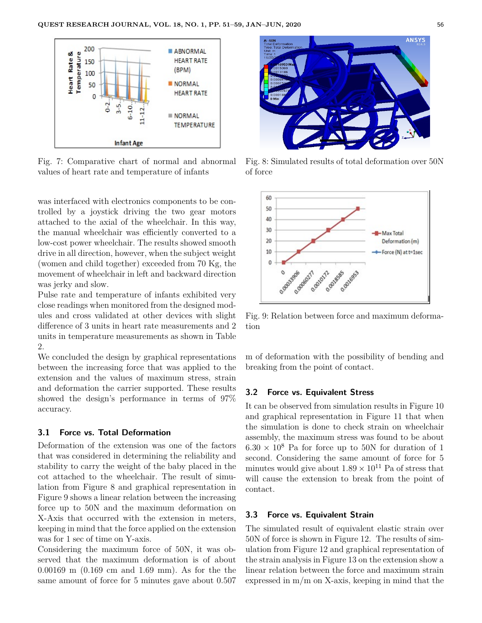

Fig. 7: Comparative chart of normal and abnormal values of heart rate and temperature of infants

was interfaced with electronics components to be controlled by a joystick driving the two gear motors attached to the axial of the wheelchair. In this way, the manual wheelchair was efficiently converted to a low-cost power wheelchair. The results showed smooth drive in all direction, however, when the subject weight (women and child together) exceeded from 70 Kg, the movement of wheelchair in left and backward direction was jerky and slow.

Pulse rate and temperature of infants exhibited very close readings when monitored from the designed modules and cross validated at other devices with slight difference of 3 units in heart rate measurements and 2 units in temperature measurements as shown in Table 2.

We concluded the design by graphical representations between the increasing force that was applied to the extension and the values of maximum stress, strain and deformation the carrier supported. These results showed the design's performance in terms of 97% accuracy.

# **3.1 Force vs. Total Deformation**

Deformation of the extension was one of the factors that was considered in determining the reliability and stability to carry the weight of the baby placed in the cot attached to the wheelchair. The result of simulation from Figure 8 and graphical representation in Figure 9 shows a linear relation between the increasing force up to 50N and the maximum deformation on X-Axis that occurred with the extension in meters, keeping in mind that the force applied on the extension was for 1 sec of time on Y-axis.

Considering the maximum force of 50N, it was observed that the maximum deformation is of about 0.00169 m (0.169 cm and 1.69 mm). As for the the same amount of force for 5 minutes gave about 0.507



Fig. 8: Simulated results of total deformation over 50N of force



Fig. 9: Relation between force and maximum deformation

m of deformation with the possibility of bending and breaking from the point of contact.

#### **3.2 Force vs. Equivalent Stress**

It can be observed from simulation results in Figure 10 and graphical representation in Figure 11 that when the simulation is done to check strain on wheelchair assembly, the maximum stress was found to be about  $6.30 \times 10^8$  Pa for force up to 50N for duration of 1 second. Considering the same amount of force for 5 minutes would give about  $1.89 \times 10^{11}$  Pa of stress that will cause the extension to break from the point of contact.

## **3.3 Force vs. Equivalent Strain**

The simulated result of equivalent elastic strain over 50N of force is shown in Figure 12. The results of simulation from Figure 12 and graphical representation of the strain analysis in Figure 13 on the extension show a linear relation between the force and maximum strain expressed in m/m on X-axis, keeping in mind that the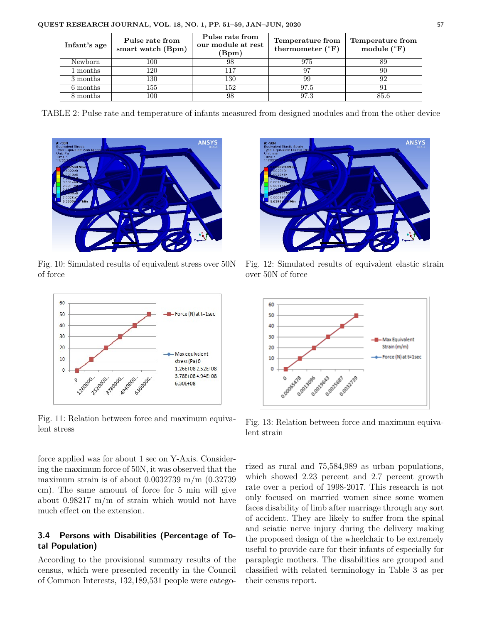| Infant's age | Pulse rate from<br>smart watch (Bpm) | Pulse rate from<br>our module at rest<br>(Bpm) | Temperature from<br>thermometer $({}^{\circ}F)$ | Temperature from<br>module $(^{\circ}F)$ |
|--------------|--------------------------------------|------------------------------------------------|-------------------------------------------------|------------------------------------------|
| Newborn      | 100                                  | 98                                             | 975                                             |                                          |
| 1 months     | 120                                  | 117                                            |                                                 | 90                                       |
| 3 months     | 130                                  | 130                                            | 99                                              | 92                                       |
| 6 months     | 155                                  | 152                                            | 97.5                                            | 91                                       |
| 8 months     | 100                                  | 98                                             | 97.3                                            | 85.6                                     |

TABLE 2: Pulse rate and temperature of infants measured from designed modules and from the other device



Fig. 10: Simulated results of equivalent stress over 50N of force



Fig. 11: Relation between force and maximum equivalent stress

force applied was for about 1 sec on Y-Axis. Considering the maximum force of 50N, it was observed that the maximum strain is of about  $0.0032739$  m/m  $(0.32739)$ cm). The same amount of force for 5 min will give about 0.98217 m/m of strain which would not have much effect on the extension.

# **3.4 Persons with Disabilities (Percentage of Total Population)**

According to the provisional summary results of the census, which were presented recently in the Council of Common Interests, 132,189,531 people were catego-



Fig. 12: Simulated results of equivalent elastic strain over 50N of force



Fig. 13: Relation between force and maximum equivalent strain

rized as rural and 75,584,989 as urban populations, which showed 2.23 percent and 2.7 percent growth rate over a period of 1998-2017. This research is not only focused on married women since some women faces disability of limb after marriage through any sort of accident. They are likely to suffer from the spinal and sciatic nerve injury during the delivery making the proposed design of the wheelchair to be extremely useful to provide care for their infants of especially for paraplegic mothers. The disabilities are grouped and classified with related terminology in Table 3 as per their census report.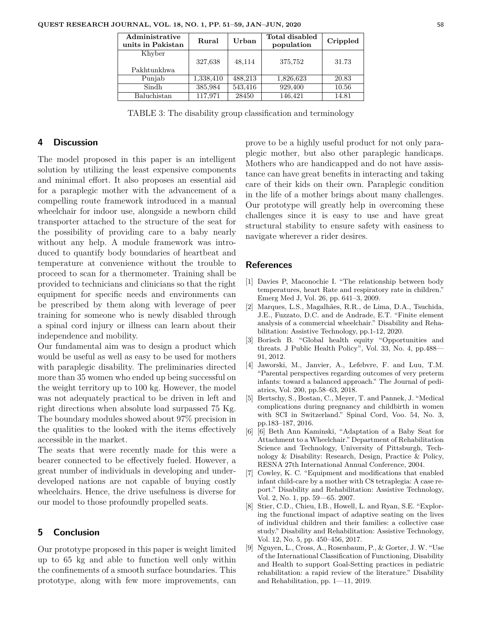| Administrative<br>units in Pakistan | Rural     | Urban   | Total disabled<br>population | Crippled |
|-------------------------------------|-----------|---------|------------------------------|----------|
| Khyber<br>Pakhtunkhwa               | 327,638   | 48,114  | 375,752                      | 31.73    |
| Punjab                              | 1,338,410 | 488,213 | 1,826,623                    | 20.83    |
| Sindh                               | 385,984   | 543,416 | 929,400                      | 10.56    |
| Baluchistan                         | 117,971   | 28450   | 146,421                      | 14.81    |

TABLE 3: The disability group classification and terminology

### **4 Discussion**

The model proposed in this paper is an intelligent solution by utilizing the least expensive components and minimal effort. It also proposes an essential aid for a paraplegic mother with the advancement of a compelling route framework introduced in a manual wheelchair for indoor use, alongside a newborn child transporter attached to the structure of the seat for the possibility of providing care to a baby nearly without any help. A module framework was introduced to quantify body boundaries of heartbeat and temperature at convenience without the trouble to proceed to scan for a thermometer. Training shall be provided to technicians and clinicians so that the right equipment for specific needs and environments can be prescribed by them along with leverage of peer training for someone who is newly disabled through a spinal cord injury or illness can learn about their independence and mobility.

Our fundamental aim was to design a product which would be useful as well as easy to be used for mothers with paraplegic disability. The preliminaries directed more than 35 women who ended up being successful on the weight territory up to 100 kg. However, the model was not adequately practical to be driven in left and right directions when absolute load surpassed 75 Kg. The boundary modules showed about 97% precision in the qualities to the looked with the items effectively accessible in the market.

The seats that were recently made for this were a bearer connected to be effectively fueled. However, a great number of individuals in developing and underdeveloped nations are not capable of buying costly wheelchairs. Hence, the drive usefulness is diverse for our model to those profoundly propelled seats.

# **5 Conclusion**

Our prototype proposed in this paper is weight limited up to 65 kg and able to function well only within the confinements of a smooth surface boundaries. This prototype, along with few more improvements, can prove to be a highly useful product for not only paraplegic mother, but also other paraplegic handicaps. Mothers who are handicapped and do not have assistance can have great benefits in interacting and taking care of their kids on their own. Paraplegic condition in the life of a mother brings about many challenges. Our prototype will greatly help in overcoming these challenges since it is easy to use and have great structural stability to ensure safety with easiness to navigate wherever a rider desires.

### **References**

- [1] Davies P, Maconochie I. "The relationship between body temperatures, heart Rate and respiratory rate in children." Emerg Med J, Vol. 26, pp. 641–3, 2009.
- [2] Marques, L.S., Magalhães, R.R., de Lima, D.A., Tsuchida, J.E., Fuzzato, D.C. and de Andrade, E.T. "Finite element analysis of a commercial wheelchair." Disability and Rehabilitation: Assistive Technology, pp.1-12, 2020.
- [3] Borisch B. "Global health equity "Opportunities and threats. J Public Health Policy", Vol. 33, No. 4, pp.488— 91, 2012.
- [4] Jaworski, M., Janvier, A., Lefebvre, F. and Luu, T.M. "Parental perspectives regarding outcomes of very preterm infants: toward a balanced approach." The Journal of pediatrics, Vol. 200, pp.58–63, 2018.
- [5] Bertschy, S., Bostan, C., Meyer, T. and Pannek, J. "Medical complications during pregnancy and childbirth in women with SCI in Switzerland." Spinal Cord, Voo. 54, No. 3, pp.183–187, 2016.
- [6] [6] Beth Ann Kaminski, "Adaptation of a Baby Seat for Attachment to a Wheelchair." Department of Rehabilitation Science and Technology, University of Pittsburgh, Technology & Disability: Research, Design, Practice & Policy, RESNA 27th International Annual Conference, 2004.
- [7] Cowley, K. C. "Equipment and modifications that enabled infant child-care by a mother with C8 tetraplegia: A case report." Disability and Rehabilitation: Assistive Technology, Vol. 2, No. 1, pp. 59—65. 2007.
- [8] Stier, C.D., Chieu, I.B., Howell, L. and Ryan, S.E. "Exploring the functional impact of adaptive seating on the lives of individual children and their families: a collective case study." Disability and Rehabilitation: Assistive Technology, Vol. 12, No. 5, pp. 450–456, 2017.
- [9] Nguyen, L., Cross, A., Rosenbaum, P., & Gorter, J. W. "Use of the International Classification of Functioning, Disability and Health to support Goal-Setting practices in pediatric rehabilitation: a rapid review of the literature." Disability and Rehabilitation, pp. 1—11, 2019.